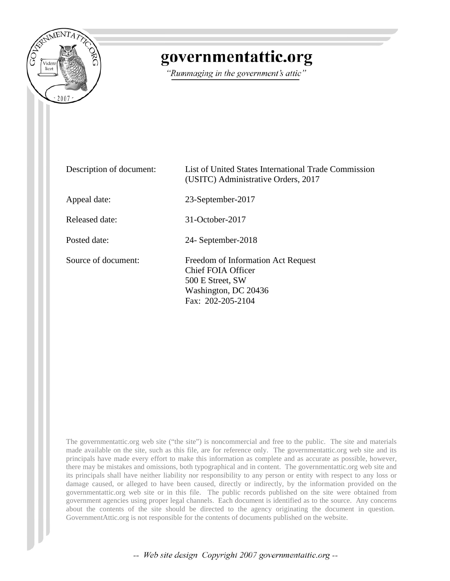

## governmentattic.org

"Rummaging in the government's attic"

| Description of document: | List of United States International Trade Commission<br>(USITC) Administrative Orders, 2017                               |
|--------------------------|---------------------------------------------------------------------------------------------------------------------------|
| Appeal date:             | 23-September-2017                                                                                                         |
| Released date:           | $31$ -October-2017                                                                                                        |
| Posted date:             | 24- September-2018                                                                                                        |
| Source of document:      | Freedom of Information Act Request<br>Chief FOIA Officer<br>500 E Street, SW<br>Washington, DC 20436<br>Fax: 202-205-2104 |

The governmentattic.org web site ("the site") is noncommercial and free to the public. The site and materials made available on the site, such as this file, are for reference only. The governmentattic.org web site and its principals have made every effort to make this information as complete and as accurate as possible, however, there may be mistakes and omissions, both typographical and in content. The governmentattic.org web site and its principals shall have neither liability nor responsibility to any person or entity with respect to any loss or damage caused, or alleged to have been caused, directly or indirectly, by the information provided on the governmentattic.org web site or in this file. The public records published on the site were obtained from government agencies using proper legal channels. Each document is identified as to the source. Any concerns about the contents of the site should be directed to the agency originating the document in question. GovernmentAttic.org is not responsible for the contents of documents published on the website.

-- Web site design Copyright 2007 governmentattic.org --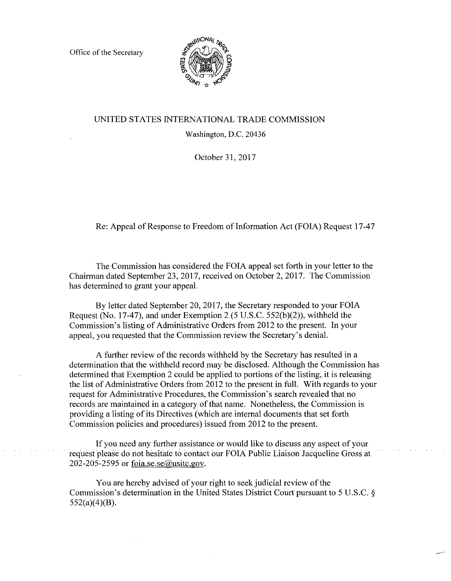Office of the Secretary



## UNITED STATES INTERNATIONAL TRADE COMMISSION

Washington, D.C. 20436

October 31, 2017

Re: Appeal of Response to Freedom of Information Act (FOIA) Request 17-47

The Commission has considered the FOIA appeal set forth in your letter to the Chairman dated September 23, 2017, received on October 2, 2017. The Commission has determined to grant your appeal.

By letter dated September 20, 2017, the Secretary responded to your FOIA Request (No. 17-47), and under Exemption 2 (5 U.S.C. 552(b)(2)), withheld the Commission's listing of Administrative Orders from 2012 to the present. In your appeal, you requested that the Commission review the Secretary's denial.

A further review of the records withheld by the Secretary has resulted in a determination that the withheld record may be disclosed. Although the Commission has determined that Exemption 2 could be applied to portions of the listing, it is releasing the list of Administrative Orders from 2012 to the present in full. With regards to your request for Administrative Procedures, the Commission's search revealed that no records are maintained in a category of that name. Nonetheless, the Commission is providing a listing of its Directives (which are internal documents that set forth Commission policies and procedures) issued from 2012 to the present.

If you need any further assistance or would like to discuss any aspect of your request please do not hesitate to contact our FOIA Public Liaison Jacqueline Gross at 202-205-2595 or foia.se.se $@$ usitc.gov.

You are hereby advised of your right to seek judicial review of the Commission's determination in the United States District Court pursuant to 5 U.S.C. §  $552(a)(4)(B)$ .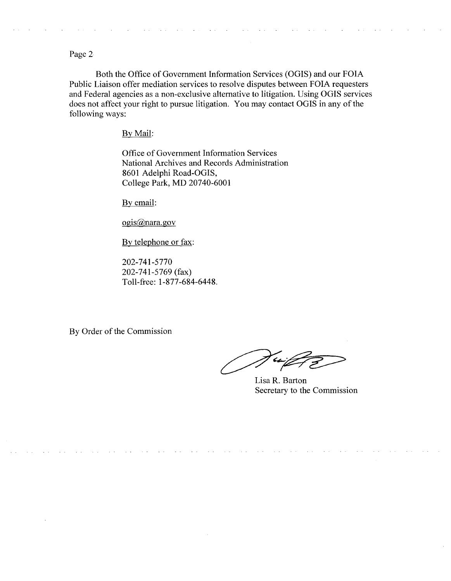Page 2

Both the Office of Government Information Services (OGIS) and our FOIA Public Liaison offer mediation services to resolve disputes between FOIA requesters and Federal agencies as a non-exclusive alternative to litigation. Using OGIS services does not affect your right to pursue litigation. You may contact OGIS in any of the following ways:

By Mail:

Office of Government Information Services National Archives and Records Administration 8601 Adelphi Road-OGIS, College Park, MD 20740-6001

By email:

ogis@nara.gov

By telephone or fax:

202-741-5770 202-741-5769 (fax) Toll-free: 1-877-684-6448.

By Order of the Commission

 $\epsilon$ 

Lisa R. Barton Secretary to the Commission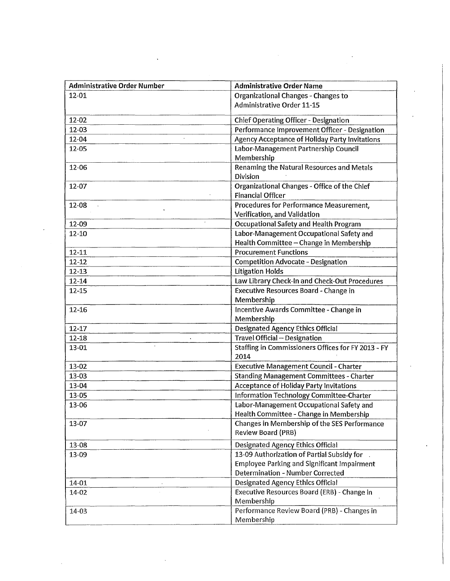| <b>Administrative Order Number</b> | <b>Administrative Order Name</b>                           |  |  |  |
|------------------------------------|------------------------------------------------------------|--|--|--|
| 12-01                              | Organizational Changes - Changes to                        |  |  |  |
|                                    | <b>Administrative Order 11-15</b>                          |  |  |  |
| 12-02                              | <b>Chief Operating Officer - Designation</b>               |  |  |  |
| 12-03                              | Performance Improvement Officer - Designation              |  |  |  |
| 12-04                              | <b>Agency Acceptance of Holiday Party Invitations</b>      |  |  |  |
| 12-05                              | Labor-Management Partnership Council                       |  |  |  |
|                                    | Membership                                                 |  |  |  |
| 12-06                              | Renaming the Natural Resources and Metals                  |  |  |  |
|                                    | Division                                                   |  |  |  |
| 12-07                              | Organizational Changes - Office of the Chief               |  |  |  |
|                                    | <b>Financial Officer</b>                                   |  |  |  |
| 12-08                              | Procedures for Performance Measurement,                    |  |  |  |
|                                    | Verification, and Validation                               |  |  |  |
| 12-09                              | <b>Occupational Safety and Health Program</b>              |  |  |  |
| 12-10                              | Labor-Management Occupational Safety and                   |  |  |  |
|                                    | Health Committee - Change in Membership                    |  |  |  |
| $12 - 11$                          | <b>Procurement Functions</b>                               |  |  |  |
| $12 - 12$                          | <b>Competition Advocate - Designation</b>                  |  |  |  |
| $12 - 13$                          | <b>Litigation Holds</b>                                    |  |  |  |
| $12 - 14$                          | Law Library Check-In and Check-Out Procedures              |  |  |  |
| $12 - 15$                          | <b>Executive Resources Board - Change in</b><br>Membership |  |  |  |
| 12-16                              | Incentive Awards Committee - Change in                     |  |  |  |
|                                    | Membership                                                 |  |  |  |
| $12 - 17$                          | <b>Designated Agency Ethics Official</b>                   |  |  |  |
| $12 - 18$                          | Travel Official - Designation                              |  |  |  |
| 13-01                              | Staffing in Commissioners Offices for FY 2013 - FY<br>2014 |  |  |  |
| 13-02                              | <b>Executive Management Council - Charter</b>              |  |  |  |
| 13-03                              | <b>Standing Management Committees - Charter</b>            |  |  |  |
| 13-04                              | <b>Acceptance of Holiday Party Invitations</b>             |  |  |  |
| 13-05                              | Information Technology Committee-Charter                   |  |  |  |
| 13-06                              | Labor-Management Occupational Safety and                   |  |  |  |
|                                    | Health Committee - Change in Membership                    |  |  |  |
| 13-07                              | Changes in Membership of the SES Performance               |  |  |  |
|                                    | Review Board (PRB)                                         |  |  |  |
| 13-08                              | <b>Designated Agency Ethics Official</b>                   |  |  |  |
| 13-09                              | 13-09 Authorization of Partial Subsidy for                 |  |  |  |
|                                    | <b>Employee Parking and Significant Impairment</b>         |  |  |  |
|                                    | <b>Determination - Number Corrected</b>                    |  |  |  |
| 14-01                              | <b>Designated Agency Ethics Official</b>                   |  |  |  |
| 14-02                              | Executive Resources Board (ERB) - Change in                |  |  |  |
|                                    | Membership                                                 |  |  |  |
| 14-03                              | Performance Review Board (PRB) - Changes in                |  |  |  |
|                                    | Membership                                                 |  |  |  |

 $\hat{\mathcal{A}}$ 

 $\ddot{\phantom{0}}$ 

 $\sigma_{\rm{eff}}$ 

 $\epsilon$ 

 $\cdot$ 

 $\bar{\phantom{a}}$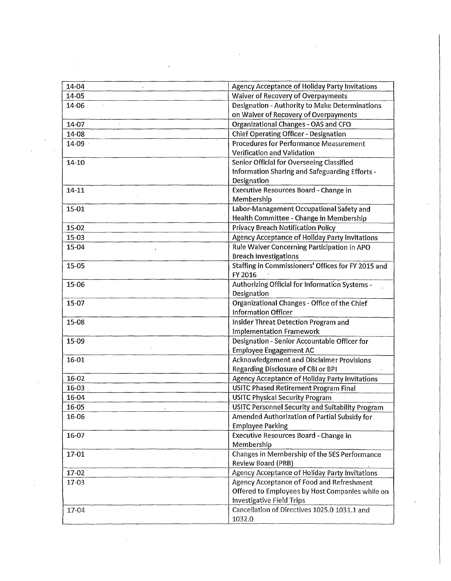| 14-04 | Agency Acceptance of Holiday Party Invitations          |  |  |
|-------|---------------------------------------------------------|--|--|
| 14-05 | Waiver of Recovery of Overpayments                      |  |  |
| 14-06 | Designation - Authority to Make Determinations          |  |  |
|       | on Waiver of Recovery of Overpayments                   |  |  |
| 14-07 | Organizational Changes - OAS and CFO                    |  |  |
| 14-08 | <b>Chief Operating Officer - Designation</b>            |  |  |
| 14-09 | <b>Procedures for Performance Measurement</b>           |  |  |
|       | Verification and Validation                             |  |  |
| 14-10 | Senior Official for Overseeing Classified               |  |  |
|       | Information Sharing and Safeguarding Efforts -          |  |  |
|       | Designation                                             |  |  |
| 14-11 | Executive Resources Board - Change in                   |  |  |
|       | Membership                                              |  |  |
| 15-01 | Labor-Management Occupational Safety and                |  |  |
|       | Health Committee - Change in Membership                 |  |  |
| 15-02 | <b>Privacy Breach Notification Policy</b>               |  |  |
| 15-03 | Agency Acceptance of Holiday Party Invitations          |  |  |
| 15-04 | Rule Waiver Concerning Participation in APO             |  |  |
|       | <b>Breach Investigations</b>                            |  |  |
|       | Staffing in Commissioners' Offices for FY 2015 and      |  |  |
| 15-05 | FY 2016                                                 |  |  |
|       |                                                         |  |  |
| 15-06 | Authorizing Official for Information Systems -          |  |  |
|       | Designation                                             |  |  |
| 15-07 | Organizational Changes - Office of the Chief            |  |  |
|       | <b>Information Officer</b>                              |  |  |
| 15-08 | Insider Threat Detection Program and                    |  |  |
|       | <b>Implementation Framework</b>                         |  |  |
| 15-09 | Designation - Senior Accountable Officer for            |  |  |
|       | <b>Employee Engagement AC</b>                           |  |  |
| 16-01 | <b>Acknowledgement and Disclaimer Provisions</b>        |  |  |
|       | Regarding Disclosure of CBI or BPI                      |  |  |
| 16-02 | Agency Acceptance of Holiday Party Invitations          |  |  |
| 16-03 | <b>USITC Phased Retirement Program Final</b>            |  |  |
| 16-04 | <b>USITC Physical Security Program</b>                  |  |  |
| 16-05 | <b>USITC Personnel Security and Suitability Program</b> |  |  |
| 16-06 | Amended Authorization of Partial Subsidy for            |  |  |
|       | <b>Employee Parking</b>                                 |  |  |
| 16-07 | <b>Executive Resources Board - Change in</b>            |  |  |
|       | Membership                                              |  |  |
| 17-01 | Changes in Membership of the SES Performance            |  |  |
|       | Review Board (PRB)                                      |  |  |
| 17-02 | Agency Acceptance of Holiday Party Invitations          |  |  |
| 17-03 | Agency Acceptance of Food and Refreshment               |  |  |
|       | Offered to Employees by Host Companies while on         |  |  |
|       | <b>Investigative Field Trips</b>                        |  |  |
| 17-04 | Cancellation of Directives 1025.0 1031.1 and            |  |  |
|       | 1032.0                                                  |  |  |
|       |                                                         |  |  |

 $\sim$ 

 $\label{eq:2} \frac{1}{\sqrt{2}}\sum_{i=1}^n\frac{1}{\sqrt{2}}\sum_{i=1}^n\frac{1}{\sqrt{2}}\sum_{i=1}^n\frac{1}{\sqrt{2}}\sum_{i=1}^n\frac{1}{\sqrt{2}}\sum_{i=1}^n\frac{1}{\sqrt{2}}\sum_{i=1}^n\frac{1}{\sqrt{2}}\sum_{i=1}^n\frac{1}{\sqrt{2}}\sum_{i=1}^n\frac{1}{\sqrt{2}}\sum_{i=1}^n\frac{1}{\sqrt{2}}\sum_{i=1}^n\frac{1}{\sqrt{2}}\sum_{i=1}^n\frac{1$ 

 $\mathcal{L}^{\text{max}}_{\text{max}}$ 

 $\sim 10^{-1}$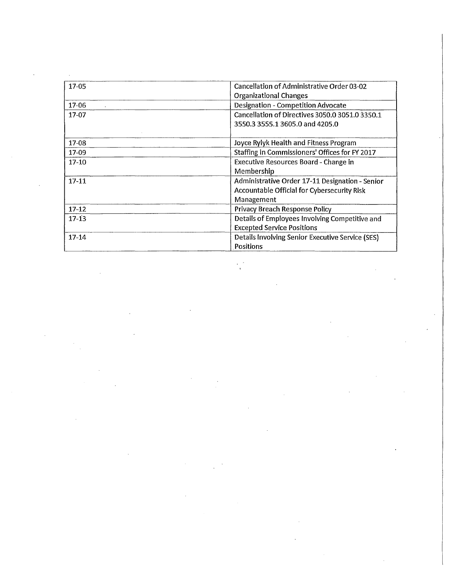| 17-05     | Cancellation of Administrative Order 03-02         |
|-----------|----------------------------------------------------|
|           | <b>Organizational Changes</b>                      |
| 17-06     | <b>Designation - Competition Advocate</b>          |
| $17 - 07$ | Cancellation of Directives 3050.0 3051.0 3350.1    |
|           | 3550.3 3555.1 3605.0 and 4205.0                    |
|           |                                                    |
| 17-08     | Joyce Rylyk Health and Fitness Program             |
| 17-09     | Staffing in Commissioners' Offices for FY 2017     |
| $17-10$   | <b>Executive Resources Board - Change in</b>       |
|           | Membership                                         |
| $17 - 11$ | Administrative Order 17-11 Designation - Senior    |
|           | <b>Accountable Official for Cybersecurity Risk</b> |
|           | Management                                         |
| $17 - 12$ | Privacy Breach Response Policy                     |
| $17-13$   | Details of Employees Involving Competitive and     |
|           | <b>Excepted Service Positions</b>                  |
| 17-14     | Details Involving Senior Executive Service (SES)   |
|           | <b>Positions</b>                                   |

 $\label{eq:2.1} \mathcal{L}(\mathcal{L}^{\text{max}}_{\mathcal{L}}(\mathcal{L}^{\text{max}}_{\mathcal{L}})) \leq \mathcal{L}(\mathcal{L}^{\text{max}}_{\mathcal{L}}(\mathcal{L}^{\text{max}}_{\mathcal{L}}))$ 

 $\label{eq:2.1} \frac{1}{\sqrt{2\pi}}\left(\frac{1}{\sqrt{2\pi}}\right)^{2} \left(\frac{1}{\sqrt{2\pi}}\right)^{2} \left(\frac{1}{\sqrt{2\pi}}\right)^{2} \left(\frac{1}{\sqrt{2\pi}}\right)^{2} \left(\frac{1}{\sqrt{2\pi}}\right)^{2} \left(\frac{1}{\sqrt{2\pi}}\right)^{2} \left(\frac{1}{\sqrt{2\pi}}\right)^{2} \left(\frac{1}{\sqrt{2\pi}}\right)^{2} \left(\frac{1}{\sqrt{2\pi}}\right)^{2} \left(\frac{1}{\sqrt{2\pi}}\right)^{2$ 

 $\label{eq:2.1} \frac{1}{\sqrt{2}}\sum_{i=1}^n\frac{1}{\sqrt{2}}\sum_{i=1}^n\frac{1}{\sqrt{2}}\sum_{i=1}^n\frac{1}{\sqrt{2}}\sum_{i=1}^n\frac{1}{\sqrt{2}}\sum_{i=1}^n\frac{1}{\sqrt{2}}\sum_{i=1}^n\frac{1}{\sqrt{2}}\sum_{i=1}^n\frac{1}{\sqrt{2}}\sum_{i=1}^n\frac{1}{\sqrt{2}}\sum_{i=1}^n\frac{1}{\sqrt{2}}\sum_{i=1}^n\frac{1}{\sqrt{2}}\sum_{i=1}^n\frac$ 

 $\mathcal{L}^{\text{max}}_{\text{max}}$ 

 $\mathcal{L}^{\text{max}}_{\text{max}}$ 

 $\label{eq:2.1} \frac{1}{\sqrt{2}}\sum_{i=1}^n\frac{1}{\sqrt{2\pi}}\sum_{i=1}^n\frac{1}{\sqrt{2\pi}}\sum_{i=1}^n\frac{1}{\sqrt{2\pi}}\sum_{i=1}^n\frac{1}{\sqrt{2\pi}}\sum_{i=1}^n\frac{1}{\sqrt{2\pi}}\sum_{i=1}^n\frac{1}{\sqrt{2\pi}}\sum_{i=1}^n\frac{1}{\sqrt{2\pi}}\sum_{i=1}^n\frac{1}{\sqrt{2\pi}}\sum_{i=1}^n\frac{1}{\sqrt{2\pi}}\sum_{i=1}^n\frac{$